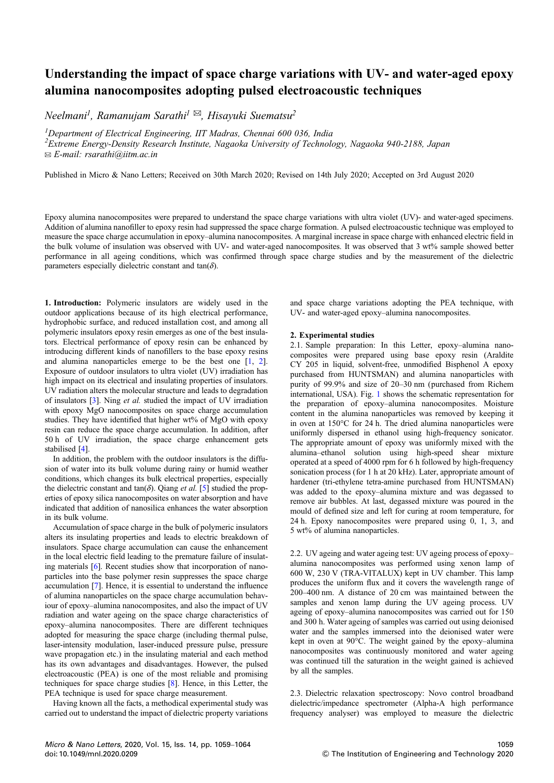## Understanding the impact of space charge variations with UV- and water-aged epoxy alumina nanocomposites adopting pulsed electroacoustic techniques

*Neelmani<sup>1</sup> , Ramanujam Sarathi<sup>1</sup>* ✉*, Hisayuki Suematsu<sup>2</sup>*

*<sup>1</sup>Department of Electrical Engineering, IIT Madras, Chennai 600 036, India*

*2 Extreme Energy-Density Research Institute, Nagaoka University of Technology, Nagaoka 940-2188, Japan* ✉ *E-mail: rsarathi@iitm.ac.in*

Published in Micro & Nano Letters; Received on 30th March 2020; Revised on 14th July 2020; Accepted on 3rd August 2020

Epoxy alumina nanocomposites were prepared to understand the space charge variations with ultra violet (UV)- and water-aged specimens. Addition of alumina nanofiller to epoxy resin had suppressed the space charge formation. A pulsed electroacoustic technique was employed to measure the space charge accumulation in epoxy–alumina nanocomposites. A marginal increase in space charge with enhanced electric field in the bulk volume of insulation was observed with UV- and water-aged nanocomposites. It was observed that 3 wt% sample showed better performance in all ageing conditions, which was confirmed through space charge studies and by the measurement of the dielectric parameters especially dielectric constant and  $tan(\delta)$ .

1. Introduction: Polymeric insulators are widely used in the outdoor applications because of its high electrical performance, hydrophobic surface, and reduced installation cost, and among all polymeric insulators epoxy resin emerges as one of the best insulators. Electrical performance of epoxy resin can be enhanced by introducing different kinds of nanofillers to the base epoxy resins and alumina nanoparticles emerge to be the best one [1, 2]. Exposure of outdoor insulators to ultra violet (UV) irradiation has high impact on its electrical and insulating properties of insulators. UV radiation alters the molecular structure and leads to degradation of insulators [3]. Ning *et al.* studied the impact of UV irradiation with epoxy MgO nanocomposites on space charge accumulation studies. They have identified that higher wt% of MgO with epoxy resin can reduce the space charge accumulation. In addition, after 50 h of UV irradiation, the space charge enhancement gets stabilised [4].

In addition, the problem with the outdoor insulators is the diffusion of water into its bulk volume during rainy or humid weather conditions, which changes its bulk electrical properties, especially the dielectric constant and  $tan(\delta)$ . Qiang *et al.* [5] studied the properties of epoxy silica nanocomposites on water absorption and have indicated that addition of nanosilica enhances the water absorption in its bulk volume.

Accumulation of space charge in the bulk of polymeric insulators alters its insulating properties and leads to electric breakdown of insulators. Space charge accumulation can cause the enhancement in the local electric field leading to the premature failure of insulating materials [6]. Recent studies show that incorporation of nanoparticles into the base polymer resin suppresses the space charge accumulation [7]. Hence, it is essential to understand the influence of alumina nanoparticles on the space charge accumulation behaviour of epoxy–alumina nanocomposites, and also the impact of UV radiation and water ageing on the space charge characteristics of epoxy–alumina nanocomposites. There are different techniques adopted for measuring the space charge (including thermal pulse, laser-intensity modulation, laser-induced pressure pulse, pressure wave propagation etc.) in the insulating material and each method has its own advantages and disadvantages. However, the pulsed electroacoustic (PEA) is one of the most reliable and promising techniques for space charge studies [8]. Hence, in this Letter, the PEA technique is used for space charge measurement.

Having known all the facts, a methodical experimental study was carried out to understand the impact of dielectric property variations and space charge variations adopting the PEA technique, with UV- and water-aged epoxy–alumina nanocomposites.

## 2. Experimental studies

2.1. Sample preparation: In this Letter, epoxy–alumina nanocomposites were prepared using base epoxy resin (Araldite CY 205 in liquid, solvent-free, unmodified Bisphenol A epoxy purchased from HUNTSMAN) and alumina nanoparticles with purity of 99.9% and size of 20–30 nm (purchased from Richem international, USA). Fig. 1 shows the schematic representation for the preparation of epoxy–alumina nanocomposites. Moisture content in the alumina nanoparticles was removed by keeping it in oven at 150°C for 24 h. The dried alumina nanoparticles were uniformly dispersed in ethanol using high-frequency sonicator. The appropriate amount of epoxy was uniformly mixed with the alumina–ethanol solution using high-speed shear mixture operated at a speed of 4000 rpm for 6 h followed by high-frequency sonication process (for 1 h at 20 kHz). Later, appropriate amount of hardener (tri-ethylene tetra-amine purchased from HUNTSMAN) was added to the epoxy–alumina mixture and was degassed to remove air bubbles. At last, degassed mixture was poured in the mould of defined size and left for curing at room temperature, for 24 h. Epoxy nanocomposites were prepared using 0, 1, 3, and 5 wt% of alumina nanoparticles.

2.2. UV ageing and water ageing test: UV ageing process of epoxy– alumina nanocomposites was performed using xenon lamp of 600 W, 230 V (TRA-VITALUX) kept in UV chamber. This lamp produces the uniform flux and it covers the wavelength range of 200–400 nm. A distance of 20 cm was maintained between the samples and xenon lamp during the UV ageing process. UV ageing of epoxy–alumina nanocomposites was carried out for 150 and 300 h. Water ageing of samples was carried out using deionised water and the samples immersed into the deionised water were kept in oven at 90°C. The weight gained by the epoxy–alumina nanocomposites was continuously monitored and water ageing was continued till the saturation in the weight gained is achieved by all the samples.

2.3. Dielectric relaxation spectroscopy: Novo control broadband dielectric/impedance spectrometer (Alpha-A high performance frequency analyser) was employed to measure the dielectric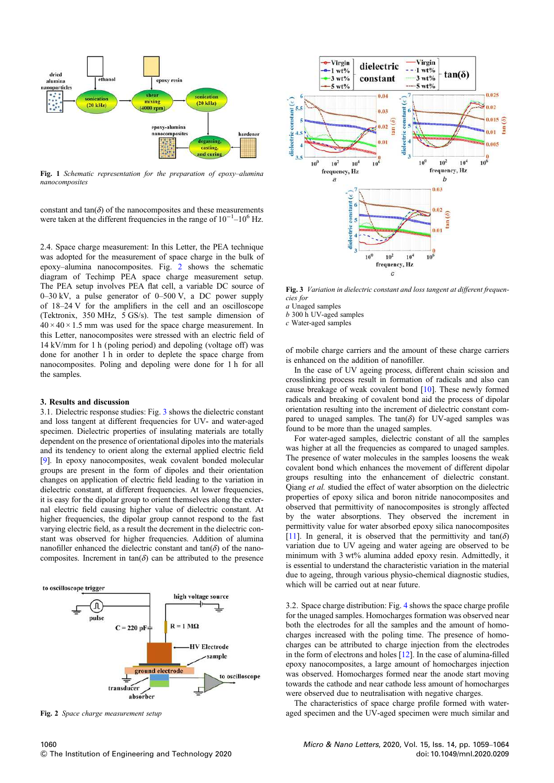

Fig. 1 *Schematic representation for the preparation of epoxy*–*alumina nanocomposites*

constant and  $tan(\delta)$  of the nanocomposites and these measurements were taken at the different frequencies in the range of  $10^{-1}$ – $10^6$  Hz.

2.4. Space charge measurement: In this Letter, the PEA technique was adopted for the measurement of space charge in the bulk of epoxy–alumina nanocomposites. Fig. 2 shows the schematic diagram of Techimp PEA space charge measurement setup. The PEA setup involves PEA flat cell, a variable DC source of 0–30 kV, a pulse generator of 0–500 V, a DC power supply of 18–24 V for the amplifiers in the cell and an oscilloscope (Tektronix, 350 MHz, 5 GS/s). The test sample dimension of  $40 \times 40 \times 1.5$  mm was used for the space charge measurement. In this Letter, nanocomposites were stressed with an electric field of 14 kV/mm for 1 h (poling period) and depoling (voltage off) was done for another 1 h in order to deplete the space charge from nanocomposites. Poling and depoling were done for 1 h for all the samples.

## 3. Results and discussion

3.1. Dielectric response studies: Fig. 3 shows the dielectric constant and loss tangent at different frequencies for UV- and water-aged specimen. Dielectric properties of insulating materials are totally dependent on the presence of orientational dipoles into the materials and its tendency to orient along the external applied electric field [9]. In epoxy nanocomposites, weak covalent bonded molecular groups are present in the form of dipoles and their orientation changes on application of electric field leading to the variation in dielectric constant, at different frequencies. At lower frequencies, it is easy for the dipolar group to orient themselves along the external electric field causing higher value of dielectric constant. At higher frequencies, the dipolar group cannot respond to the fast varying electric field, as a result the decrement in the dielectric constant was observed for higher frequencies. Addition of alumina nanofiller enhanced the dielectric constant and  $tan(\delta)$  of the nanocomposites. Increment in  $tan(\delta)$  can be attributed to the presence





Fig. 3 *Variation in dielectric constant and loss tangent at different frequencies for*

*a* Unaged samples

*b* 300 h UV-aged samples

*c* Water-aged samples

of mobile charge carriers and the amount of these charge carriers is enhanced on the addition of nanofiller.

In the case of UV ageing process, different chain scission and crosslinking process result in formation of radicals and also can cause breakage of weak covalent bond [10]. These newly formed radicals and breaking of covalent bond aid the process of dipolar orientation resulting into the increment of dielectric constant compared to unaged samples. The tan $(\delta)$  for UV-aged samples was found to be more than the unaged samples.

For water-aged samples, dielectric constant of all the samples was higher at all the frequencies as compared to unaged samples. The presence of water molecules in the samples loosens the weak covalent bond which enhances the movement of different dipolar groups resulting into the enhancement of dielectric constant. Qiang *et al.* studied the effect of water absorption on the dielectric properties of epoxy silica and boron nitride nanocomposites and observed that permittivity of nanocomposites is strongly affected by the water absorptions. They observed the increment in permittivity value for water absorbed epoxy silica nanocomposites [11]. In general, it is observed that the permittivity and  $tan(\delta)$ variation due to UV ageing and water ageing are observed to be minimum with 3 wt% alumina added epoxy resin. Admittedly, it is essential to understand the characteristic variation in the material due to ageing, through various physio-chemical diagnostic studies, which will be carried out at near future.

3.2. Space charge distribution: Fig. 4 shows the space charge profile for the unaged samples. Homocharges formation was observed near both the electrodes for all the samples and the amount of homocharges increased with the poling time. The presence of homocharges can be attributed to charge injection from the electrodes in the form of electrons and holes [12]. In the case of alumina-filled epoxy nanocomposites, a large amount of homocharges injection was observed. Homocharges formed near the anode start moving towards the cathode and near cathode less amount of homocharges were observed due to neutralisation with negative charges.

The characteristics of space charge profile formed with water-Fig. 2 *Space charge measurement setup* aged specimen and the UV-aged specimen were much similar and similar and the UV-aged specimen were much similar and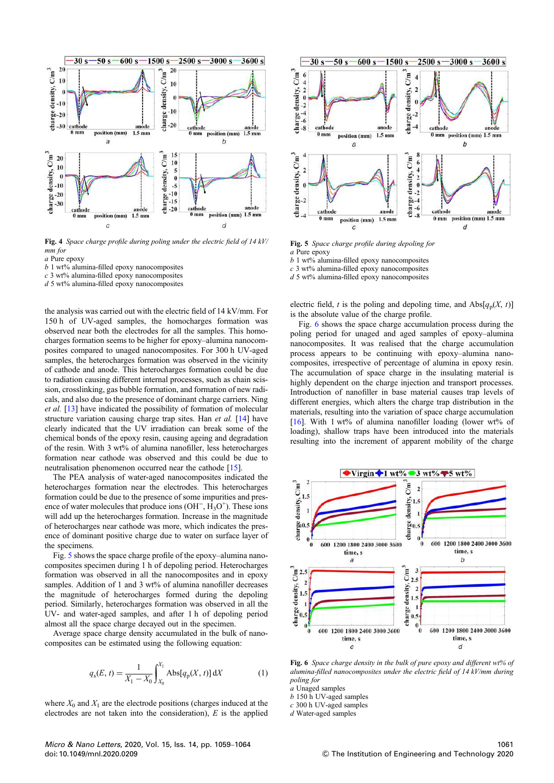

Fig. 4 *Space charge pro*fi*le during poling under the electric* fi*eld of 14 kV/ mm for*

*a* Pure epoxy

*b* 1 wt% alumina-filled epoxy nanocomposites

*c* 3 wt% alumina-filled epoxy nanocomposites

*d* 5 wt% alumina-filled epoxy nanocomposites

the analysis was carried out with the electric field of 14 kV/mm. For 150 h of UV-aged samples, the homocharges formation was observed near both the electrodes for all the samples. This homocharges formation seems to be higher for epoxy–alumina nanocomposites compared to unaged nanocomposites. For 300 h UV-aged samples, the heterocharges formation was observed in the vicinity of cathode and anode. This heterocharges formation could be due to radiation causing different internal processes, such as chain scission, crosslinking, gas bubble formation, and formation of new radicals, and also due to the presence of dominant charge carriers. Ning *et al.* [13] have indicated the possibility of formation of molecular structure variation causing charge trap sites. Han *et al.* [14] have clearly indicated that the UV irradiation can break some of the chemical bonds of the epoxy resin, causing ageing and degradation of the resin. With 3 wt% of alumina nanofiller, less heterocharges formation near cathode was observed and this could be due to neutralisation phenomenon occurred near the cathode [15].

The PEA analysis of water-aged nanocomposites indicated the heterocharges formation near the electrodes. This heterocharges formation could be due to the presence of some impurities and presence of water molecules that produce ions  $(OH^-, H_3O^+)$ . These ions will add up the heterocharges formation. Increase in the magnitude of heterocharges near cathode was more, which indicates the presence of dominant positive charge due to water on surface layer of the specimens.

Fig. 5 shows the space charge profile of the epoxy–alumina nanocomposites specimen during 1 h of depoling period. Heterocharges formation was observed in all the nanocomposites and in epoxy samples. Addition of 1 and 3 wt% of alumina nanofiller decreases the magnitude of heterocharges formed during the depoling period. Similarly, heterocharges formation was observed in all the UV- and water-aged samples, and after 1 h of depoling period almost all the space charge decayed out in the specimen.

Average space charge density accumulated in the bulk of nanocomposites can be estimated using the following equation:

$$
q_{s}(E, t) = \frac{1}{X_1 - X_0} \int_{X_0}^{X_1} \text{Abs}[q_{p}(X, t)] \, \mathrm{d}X \tag{1}
$$

where  $X_0$  and  $X_1$  are the electrode positions (charges induced at the electrodes are not taken into the consideration), *E* is the applied



Fig. 5 *Space charge pro*fi*le during depoling for a* Pure epoxy

*b* 1 wt% alumina-filled epoxy nanocomposites

*c* 3 wt% alumina-filled epoxy nanocomposites

*d* 5 wt% alumina-filled epoxy nanocomposites

electric field, *t* is the poling and depoling time, and  $\text{Abs}[q_p(X, t)]$ is the absolute value of the charge profile.

Fig. 6 shows the space charge accumulation process during the poling period for unaged and aged samples of epoxy–alumina nanocomposites. It was realised that the charge accumulation process appears to be continuing with epoxy–alumina nanocomposites, irrespective of percentage of alumina in epoxy resin. The accumulation of space charge in the insulating material is highly dependent on the charge injection and transport processes. Introduction of nanofiller in base material causes trap levels of different energies, which alters the charge trap distribution in the materials, resulting into the variation of space charge accumulation [16]. With 1 wt% of alumina nanofiller loading (lower wt% of loading), shallow traps have been introduced into the materials resulting into the increment of apparent mobility of the charge



Fig. 6 *Space charge density in the bulk of pure epoxy and different wt% of alumina-*fi*lled nanocomposites under the electric* fi*eld of 14 kV/mm during poling for*

*a* Unaged samples

*b* 150 h UV-aged samples

*c* 300 h UV-aged samples

*d* Water-aged samples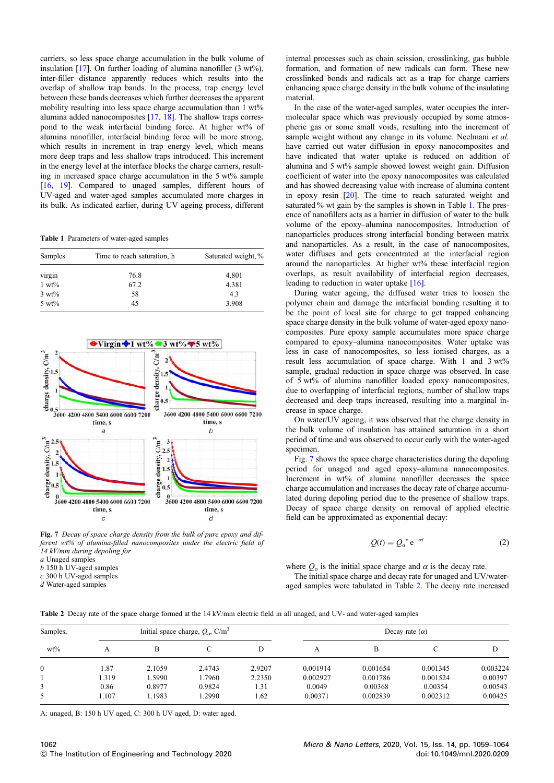carriers, so less space charge accumulation in the bulk volume of insulation  $[17]$ . On further loading of alumina nanofiller  $(3 \text{ wt\%})$ , inter-filler distance apparently reduces which results into the overlap of shallow trap bands. In the process, trap energy level between these bands decreases which further decreases the apparent mobility resulting into less space charge accumulation than 1 wt% alumina added nanocomposites [17, 18]. The shallow traps correspond to the weak interfacial binding force. At higher wt% of alumina nanofiller, interfacial binding force will be more strong, which results in increment in trap energy level, which means more deep traps and less shallow traps introduced. This increment in the energy level at the interface blocks the charge carriers, resulting in increased space charge accumulation in the 5 wt% sample [16, 19]. Compared to unaged samples, different hours of UV-aged and water-aged samples accumulated more charges in its bulk. As indicated earlier, during UV ageing process, different

Table 1 Parameters of water-aged samples

| Samples          | Time to reach saturation, h | Saturated weight, % |  |
|------------------|-----------------------------|---------------------|--|
| virgin           | 76.8                        | 4.801               |  |
| $1 wt\%$         | 67.2                        | 4.381               |  |
| $3 wt\%$         | 58                          | 4.3                 |  |
| $5 \text{ wt\%}$ | 45                          | 3.908               |  |



Fig. 7 *Decay of space charge density from the bulk of pure epoxy and different wt% of alumina-*fi*lled nanocomposites under the electric* fi*eld of 14 kV/mm during depoling for a* Unaged samples

*b* 150 h UV-aged samples

*c* 300 h UV-aged samples

*d* Water-aged samples

internal processes such as chain scission, crosslinking, gas bubble formation, and formation of new radicals can form. These new crosslinked bonds and radicals act as a trap for charge carriers enhancing space charge density in the bulk volume of the insulating material.

In the case of the water-aged samples, water occupies the intermolecular space which was previously occupied by some atmospheric gas or some small voids, resulting into the increment of sample weight without any change in its volume. Neelmani *et al.* have carried out water diffusion in epoxy nanocomposites and have indicated that water uptake is reduced on addition of alumina and 5 wt% sample showed lowest weight gain. Diffusion coefficient of water into the epoxy nanocomposites was calculated and has showed decreasing value with increase of alumina content in epoxy resin [20]. The time to reach saturated weight and saturated % wt gain by the samples is shown in Table 1. The presence of nanofillers acts as a barrier in diffusion of water to the bulk volume of the epoxy–alumina nanocomposites. Introduction of nanoparticles produces strong interfacial bonding between matrix and nanoparticles. As a result, in the case of nanocomposites, water diffuses and gets concentrated at the interfacial region around the nanoparticles. At higher wt% these interfacial region overlaps, as result availability of interfacial region decreases, leading to reduction in water uptake [16].

During water ageing, the diffused water tries to loosen the polymer chain and damage the interfacial bonding resulting it to be the point of local site for charge to get trapped enhancing space charge density in the bulk volume of water-aged epoxy nanocomposites. Pure epoxy sample accumulates more space charge compared to epoxy–alumina nanocomposites. Water uptake was less in case of nanocomposites, so less ionised charges, as a result less accumulation of space charge. With 1 and 3 wt% sample, gradual reduction in space charge was observed. In case of 5 wt% of alumina nanofiller loaded epoxy nanocomposites, due to overlapping of interfacial regions, number of shallow traps decreased and deep traps increased, resulting into a marginal increase in space charge.

On water/UV ageing, it was observed that the charge density in the bulk volume of insulation has attained saturation in a short period of time and was observed to occur early with the water-aged specimen.

Fig. 7 shows the space charge characteristics during the depoling period for unaged and aged epoxy–alumina nanocomposites. Increment in wt% of alumina nanofiller decreases the space charge accumulation and increases the decay rate of charge accumulated during depoling period due to the presence of shallow traps. Decay of space charge density on removal of applied electric field can be approximated as exponential decay:

$$
Q(t) = Q_0^* e^{-\alpha t}
$$
 (2)

where  $Q_0$  is the initial space charge and  $\alpha$  is the decay rate.

The initial space charge and decay rate for unaged and UV/wateraged samples were tabulated in Table 2. The decay rate increased

| Samples,     | Initial space charge, $Q_0$ , C/m <sup>3</sup> |        |        | Decay rate $(\alpha)$ |          |          |          |          |
|--------------|------------------------------------------------|--------|--------|-----------------------|----------|----------|----------|----------|
| $wt\%$       | А                                              | B      |        |                       | А        | в        |          | D        |
| $\mathbf{0}$ | 1.87                                           | 2.1059 | 2.4743 | 2.9207                | 0.001914 | 0.001654 | 0.001345 | 0.003224 |
|              | 1.319                                          | .5990  | 1.7960 | 2.2350                | 0.002927 | 0.001786 | 0.001524 | 0.00397  |
| 3            | 0.86                                           | 0.8977 | 0.9824 | 1.31                  | 0.0049   | 0.00368  | 0.00354  | 0.00543  |
| 5            | 1.107                                          | .1983  | 1.2990 | 1.62                  | 0.00371  | 0.002839 | 0.002312 | 0.00425  |

A: unaged, B: 150 h UV aged, C: 300 h UV aged, D: water aged.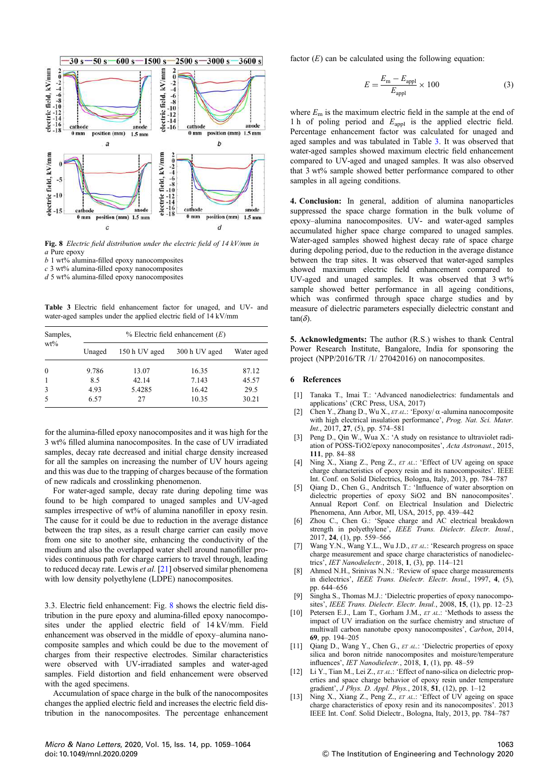

Fig. 8 *Electric* fi*eld distribution under the electric* fi*eld of 14 kV/mm in a* Pure epoxy

*b* 1 wt% alumina-filled epoxy nanocomposites

*c* 3 wt% alumina-filled epoxy nanocomposites

*d* 5 wt% alumina-filled epoxy nanocomposites

Table 3 Electric field enhancement factor for unaged, and UV- and water-aged samples under the applied electric field of 14 kV/mm

| Samples,<br>$wt\%$ | $%$ Electric field enhancement $(E)$ |               |               |            |  |  |
|--------------------|--------------------------------------|---------------|---------------|------------|--|--|
|                    | Unaged                               | 150 h UV aged | 300 h UV aged | Water aged |  |  |
| $\mathbf{0}$       | 9.786                                | 13.07         | 16.35         | 87.12      |  |  |
| -1                 | 8.5                                  | 42.14         | 7.143         | 45.57      |  |  |
| 3                  | 4.93                                 | 5.4285        | 16.42         | 29.5       |  |  |
| 5                  | 6.57                                 | 27            | 10.35         | 30.21      |  |  |

for the alumina-filled epoxy nanocomposites and it was high for the 3 wt% filled alumina nanocomposites. In the case of UV irradiated samples, decay rate decreased and initial charge density increased for all the samples on increasing the number of UV hours ageing and this was due to the trapping of charges because of the formation of new radicals and crosslinking phenomenon.

For water-aged sample, decay rate during depoling time was found to be high compared to unaged samples and UV-aged samples irrespective of wt% of alumina nanofiller in epoxy resin. The cause for it could be due to reduction in the average distance between the trap sites, as a result charge carrier can easily move from one site to another site, enhancing the conductivity of the medium and also the overlapped water shell around nanofiller provides continuous path for charge carriers to travel through, leading to reduced decay rate. Lewis *et al.* [21] observed similar phenomena with low density polyethylene (LDPE) nanocomposites.

3.3. Electric field enhancement: Fig. 8 shows the electric field distribution in the pure epoxy and alumina-filled epoxy nanocomposites under the applied electric field of 14 kV/mm. Field enhancement was observed in the middle of epoxy–alumina nanocomposite samples and which could be due to the movement of charges from their respective electrodes. Similar characteristics were observed with UV-irradiated samples and water-aged samples. Field distortion and field enhancement were observed with the aged specimens.

Accumulation of space charge in the bulk of the nanocomposites changes the applied electric field and increases the electric field distribution in the nanocomposites. The percentage enhancement factor  $(E)$  can be calculated using the following equation:

$$
E = \frac{E_{\rm m} - E_{\rm appl}}{E_{\rm appl}} \times 100
$$
 (3)

where  $E_m$  is the maximum electric field in the sample at the end of 1 h of poling period and  $E_{\text{appl}}$  is the applied electric field. Percentage enhancement factor was calculated for unaged and aged samples and was tabulated in Table 3. It was observed that water-aged samples showed maximum electric field enhancement compared to UV-aged and unaged samples. It was also observed that 3 wt% sample showed better performance compared to other samples in all ageing conditions.

4. Conclusion: In general, addition of alumina nanoparticles suppressed the space charge formation in the bulk volume of epoxy–alumina nanocomposites. UV- and water-aged samples accumulated higher space charge compared to unaged samples. Water-aged samples showed highest decay rate of space charge during depoling period, due to the reduction in the average distance between the trap sites. It was observed that water-aged samples showed maximum electric field enhancement compared to UV-aged and unaged samples. It was observed that 3 wt% sample showed better performance in all ageing conditions, which was confirmed through space charge studies and by measure of dielectric parameters especially dielectric constant and  $tan(\delta)$ .

5. Acknowledgments: The author (R.S.) wishes to thank Central Power Research Institute, Bangalore, India for sponsoring the project (NPP/2016/TR /1/ 27042016) on nanocomposites.

## 6 References

- [1] Tanaka T., Imai T.: 'Advanced nanodielectrics: fundamentals and applications' (CRC Press, USA, 2017)
- $\widehat{C}$ hen Y., Zhang D., Wu X., *ET AL*.: 'Epoxy/  $\alpha$  -alumina nanocomposite with high electrical insulation performance', *Prog. Nat. Sci. Mater. Int.*, 2017, 27, (5), pp. 574–581
- [3] Peng D., Qin W., Wua X.: 'A study on resistance to ultraviolet radiation of POSS-TiO2/epoxy nanocomposites', *Acta Astronaut.*, 2015, 111, pp. 84–88
- [4] Ning X., Xiang Z., Peng Z., *ET AL*.: 'Effect of UV ageing on space charge characteristics of epoxy resin and its nanocomposites'. IEEE Int. Conf. on Solid Dielectrics, Bologna, Italy, 2013, pp. 784–787
- [5] Qiang D., Chen G., Andritsch T.: 'Influence of water absorption on dielectric properties of epoxy SiO2 and BN nanocomposites'. Annual Report Conf. on Electrical Insulation and Dielectric Phenomena, Ann Arbor, MI, USA, 2015, pp. 439–442
- [6] Zhou C., Chen G.: 'Space charge and AC electrical breakdown strength in polyethylene', *IEEE Trans. Dielectr. Electr. Insul.*, 2017, 24, (1), pp. 559–566
- [7] Wang Y.N., Wang Y.L., Wu J.D., *ET AL*.: 'Research progress on space charge measurement and space charge characteristics of nanodielectrics', *IET Nanodielectr.*, 2018, 1, (3), pp. 114–121
- Ahmed N.H., Srinivas N.N.: 'Review of space charge measurements in dielectrics', *IEEE Trans. Dielectr. Electr. Insul.*, 1997, 4, (5), pp. 644–656
- [9] Singha S., Thomas M.J.: 'Dielectric properties of epoxy nanocomposites', *IEEE Trans. Dielectr. Electr. Insul.*, 2008, 15, (1), pp. 12–23
- Petersen E.J., Lam T., Gorham J.M., *ET AL.*: 'Methods to assess the impact of UV irradiation on the surface chemistry and structure of multiwall carbon nanotube epoxy nanocomposites', *Carbon*, 2014, 69, pp. 194–205
- [11] Qiang D., Wang Y., Chen G., *ET AL*.: 'Dielectric properties of epoxy silica and boron nitride nanocomposites and moisture/temperature influences', *IET Nanodielectr.*, 2018, 1, (1), pp. 48–59
- [12] Li Y., Tian M., Lei Z., *ET AL*.: 'Effect of nano-silica on dielectric properties and space charge behavior of epoxy resin under temperature gradient', *J Phys. D. Appl. Phys.*, 2018, 51, (12), pp. 1–12
- Ning X., Xiang Z., Peng Z., *ET AL.*: 'Effect of UV ageing on space charge characteristics of epoxy resin and its nanocomposites'. 2013 IEEE Int. Conf. Solid Dielectr., Bologna, Italy, 2013, pp. 784–787